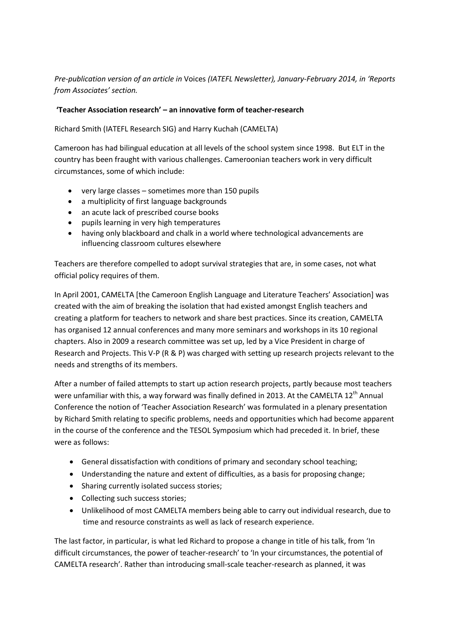## *Pre-publication version of an article in* Voices *(IATEFL Newsletter), January-February 2014, in 'Reports from Associates' section.*

## **'Teacher Association research' – an innovative form of teacher-research**

Richard Smith (IATEFL Research SIG) and Harry Kuchah (CAMELTA)

Cameroon has had bilingual education at all levels of the school system since 1998. But ELT in the country has been fraught with various challenges. Cameroonian teachers work in very difficult circumstances, some of which include:

- very large classes sometimes more than 150 pupils
- a multiplicity of first language backgrounds
- an acute lack of prescribed course books
- pupils learning in very high temperatures
- having only blackboard and chalk in a world where technological advancements are influencing classroom cultures elsewhere

Teachers are therefore compelled to adopt survival strategies that are, in some cases, not what official policy requires of them.

In April 2001, CAMELTA [the Cameroon English Language and Literature Teachers' Association] was created with the aim of breaking the isolation that had existed amongst English teachers and creating a platform for teachers to network and share best practices. Since its creation, CAMELTA has organised 12 annual conferences and many more seminars and workshops in its 10 regional chapters. Also in 2009 a research committee was set up, led by a Vice President in charge of Research and Projects. This V-P (R & P) was charged with setting up research projects relevant to the needs and strengths of its members.

After a number of failed attempts to start up action research projects, partly because most teachers were unfamiliar with this, a way forward was finally defined in 2013. At the CAMELTA 12<sup>th</sup> Annual Conference the notion of 'Teacher Association Research' was formulated in a plenary presentation by Richard Smith relating to specific problems, needs and opportunities which had become apparent in the course of the conference and the TESOL Symposium which had preceded it. In brief, these were as follows:

- General dissatisfaction with conditions of primary and secondary school teaching;
- Understanding the nature and extent of difficulties, as a basis for proposing change;
- Sharing currently isolated success stories;
- Collecting such success stories;
- Unlikelihood of most CAMELTA members being able to carry out individual research, due to time and resource constraints as well as lack of research experience.

The last factor, in particular, is what led Richard to propose a change in title of his talk, from 'In difficult circumstances, the power of teacher-research' to 'In your circumstances, the potential of CAMELTA research'. Rather than introducing small-scale teacher-research as planned, it was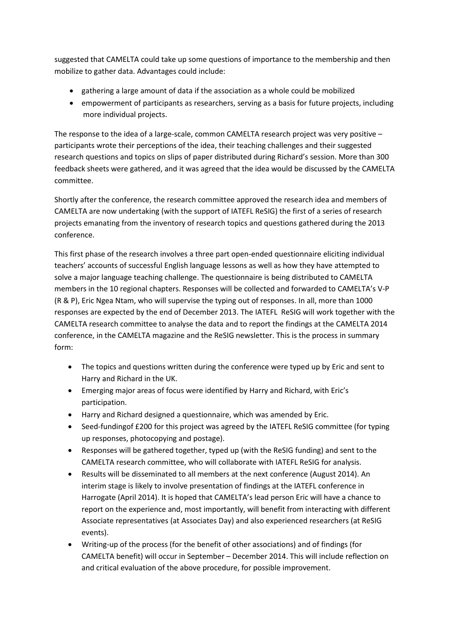suggested that CAMELTA could take up some questions of importance to the membership and then mobilize to gather data. Advantages could include:

- gathering a large amount of data if the association as a whole could be mobilized
- empowerment of participants as researchers, serving as a basis for future projects, including more individual projects.

The response to the idea of a large-scale, common CAMELTA research project was very positive – participants wrote their perceptions of the idea, their teaching challenges and their suggested research questions and topics on slips of paper distributed during Richard's session. More than 300 feedback sheets were gathered, and it was agreed that the idea would be discussed by the CAMELTA committee.

Shortly after the conference, the research committee approved the research idea and members of CAMELTA are now undertaking (with the support of IATEFL ReSIG) the first of a series of research projects emanating from the inventory of research topics and questions gathered during the 2013 conference.

This first phase of the research involves a three part open-ended questionnaire eliciting individual teachers' accounts of successful English language lessons as well as how they have attempted to solve a major language teaching challenge. The questionnaire is being distributed to CAMELTA members in the 10 regional chapters. Responses will be collected and forwarded to CAMELTA's V-P (R & P), Eric Ngea Ntam, who will supervise the typing out of responses. In all, more than 1000 responses are expected by the end of December 2013. The IATEFL ReSIG will work together with the CAMELTA research committee to analyse the data and to report the findings at the CAMELTA 2014 conference, in the CAMELTA magazine and the ReSIG newsletter. This is the process in summary form:

- The topics and questions written during the conference were typed up by Eric and sent to Harry and Richard in the UK.
- Emerging major areas of focus were identified by Harry and Richard, with Eric's participation.
- Harry and Richard designed a questionnaire, which was amended by Eric.
- Seed-fundingof £200 for this project was agreed by the IATEFL ReSIG committee (for typing up responses, photocopying and postage).
- Responses will be gathered together, typed up (with the ReSIG funding) and sent to the CAMELTA research committee, who will collaborate with IATEFL ReSIG for analysis.
- Results will be disseminated to all members at the next conference (August 2014). An interim stage is likely to involve presentation of findings at the IATEFL conference in Harrogate (April 2014). It is hoped that CAMELTA's lead person Eric will have a chance to report on the experience and, most importantly, will benefit from interacting with different Associate representatives (at Associates Day) and also experienced researchers (at ReSIG events).
- Writing-up of the process (for the benefit of other associations) and of findings (for CAMELTA benefit) will occur in September – December 2014. This will include reflection on and critical evaluation of the above procedure, for possible improvement.